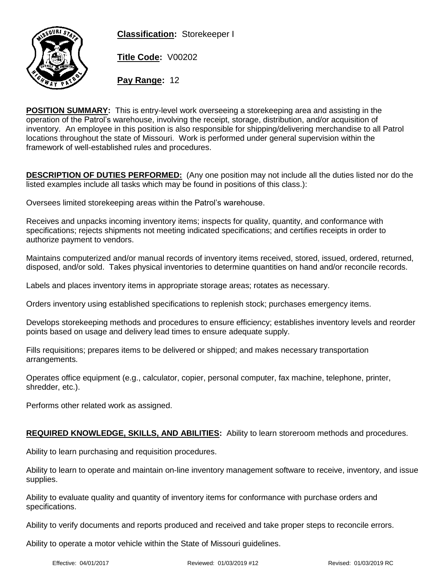**Classification:** Storekeeper I



**Title Code:** V00202

**Pay Range:** 12

**POSITION SUMMARY:** This is entry-level work overseeing a storekeeping area and assisting in the operation of the Patrol's warehouse, involving the receipt, storage, distribution, and/or acquisition of inventory. An employee in this position is also responsible for shipping/delivering merchandise to all Patrol locations throughout the state of Missouri. Work is performed under general supervision within the framework of well-established rules and procedures.

**DESCRIPTION OF DUTIES PERFORMED:** (Any one position may not include all the duties listed nor do the listed examples include all tasks which may be found in positions of this class.):

Oversees limited storekeeping areas within the Patrol's warehouse.

Receives and unpacks incoming inventory items; inspects for quality, quantity, and conformance with specifications; rejects shipments not meeting indicated specifications; and certifies receipts in order to authorize payment to vendors.

Maintains computerized and/or manual records of inventory items received, stored, issued, ordered, returned, disposed, and/or sold. Takes physical inventories to determine quantities on hand and/or reconcile records.

Labels and places inventory items in appropriate storage areas; rotates as necessary.

Orders inventory using established specifications to replenish stock; purchases emergency items.

Develops storekeeping methods and procedures to ensure efficiency; establishes inventory levels and reorder points based on usage and delivery lead times to ensure adequate supply.

Fills requisitions; prepares items to be delivered or shipped; and makes necessary transportation arrangements.

Operates office equipment (e.g., calculator, copier, personal computer, fax machine, telephone, printer, shredder, etc.).

Performs other related work as assigned.

## **REQUIRED KNOWLEDGE, SKILLS, AND ABILITIES:** Ability to learn storeroom methods and procedures.

Ability to learn purchasing and requisition procedures.

Ability to learn to operate and maintain on-line inventory management software to receive, inventory, and issue supplies.

Ability to evaluate quality and quantity of inventory items for conformance with purchase orders and specifications.

Ability to verify documents and reports produced and received and take proper steps to reconcile errors.

Ability to operate a motor vehicle within the State of Missouri guidelines.

Effective: 04/01/2017 Reviewed: 01/03/2019 #12 Revised: 01/03/2019 RC